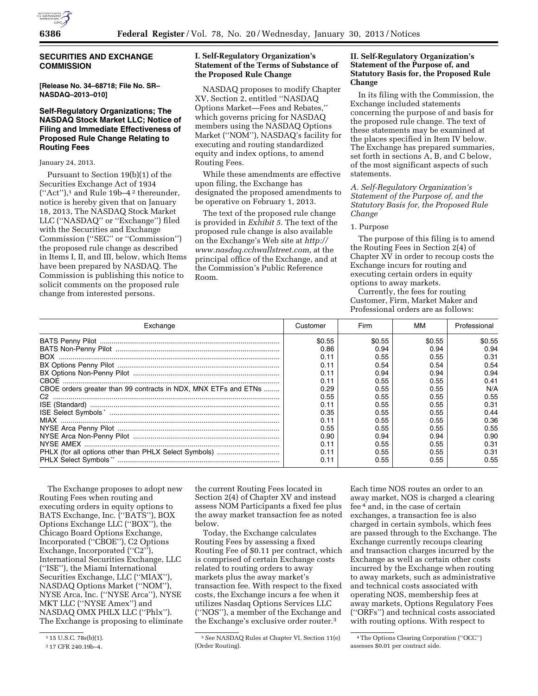

# **SECURITIES AND EXCHANGE COMMISSION**

**[Release No. 34–68718; File No. SR– NASDAQ–2013–010]** 

# **Self-Regulatory Organizations; The NASDAQ Stock Market LLC; Notice of Filing and Immediate Effectiveness of Proposed Rule Change Relating to Routing Fees**

#### January 24, 2013.

Pursuant to Section 19(b)(1) of the Securities Exchange Act of 1934 (''Act''),1 and Rule 19b–4 2 thereunder, notice is hereby given that on January 18, 2013, The NASDAQ Stock Market LLC (''NASDAQ'' or ''Exchange'') filed with the Securities and Exchange Commission (''SEC'' or ''Commission'') the proposed rule change as described in Items I, II, and III, below, which Items have been prepared by NASDAQ. The Commission is publishing this notice to solicit comments on the proposed rule change from interested persons.

# **I. Self-Regulatory Organization's Statement of the Terms of Substance of the Proposed Rule Change**

NASDAQ proposes to modify Chapter XV, Section 2, entitled ''NASDAQ Options Market—Fees and Rebates,'' which governs pricing for NASDAQ members using the NASDAQ Options Market (''NOM''), NASDAQ's facility for executing and routing standardized equity and index options, to amend Routing Fees.

While these amendments are effective upon filing, the Exchange has designated the proposed amendments to be operative on February 1, 2013.

The text of the proposed rule change is provided in *Exhibit 5.* The text of the proposed rule change is also available on the Exchange's Web site at *[http://](http://www.nasdaq.cchwallstreet.com) [www.nasdaq.cchwallstreet.com,](http://www.nasdaq.cchwallstreet.com)* at the principal office of the Exchange, and at the Commission's Public Reference Room.

### **II. Self-Regulatory Organization's Statement of the Purpose of, and Statutory Basis for, the Proposed Rule Change**

In its filing with the Commission, the Exchange included statements concerning the purpose of and basis for the proposed rule change. The text of these statements may be examined at the places specified in Item IV below. The Exchange has prepared summaries, set forth in sections A, B, and C below, of the most significant aspects of such statements.

### *A. Self-Regulatory Organization's Statement of the Purpose of, and the Statutory Basis for, the Proposed Rule Change*

#### 1. Purpose

The purpose of this filing is to amend the Routing Fees in Section 2(4) of Chapter XV in order to recoup costs the Exchange incurs for routing and executing certain orders in equity options to away markets.

Currently, the fees for routing Customer, Firm, Market Maker and Professional orders are as follows:

| Exchange                                                        | Customer | Firm   | мм     | Professional |
|-----------------------------------------------------------------|----------|--------|--------|--------------|
|                                                                 | \$0.55   | \$0.55 | \$0.55 | \$0.55       |
|                                                                 | 0.86     | 0.94   | 0.94   | 0.94         |
| BOX.                                                            | 0.11     | 0.55   | 0.55   | 0.31         |
|                                                                 | 0.11     | 0.54   | 0.54   | 0.54         |
|                                                                 | 0.11     | 0.94   | 0.94   | 0.94         |
|                                                                 | 0.11     | 0.55   | 0.55   | 0.41         |
| CBOE orders greater than 99 contracts in NDX, MNX ETFs and ETNs | 0.29     | 0.55   | 0.55   | N/A          |
|                                                                 | 0.55     | 0.55   | 0.55   | 0.55         |
|                                                                 | 0.11     | 0.55   | 0.55   | 0.31         |
|                                                                 | 0.35     | 0.55   | 0.55   | 0.44         |
|                                                                 | 0.11     | 0.55   | 0.55   | 0.36         |
|                                                                 | 0.55     | 0.55   | 0.55   | 0.55         |
|                                                                 | 0.90     | 0.94   | 0.94   | 0.90         |
|                                                                 | 0.11     | 0.55   | 0.55   | 0.31         |
|                                                                 | 0.11     | 0.55   | 0.55   | 0.31         |
|                                                                 | 0.11     | 0.55   | 0.55   | 0.55         |

The Exchange proposes to adopt new Routing Fees when routing and executing orders in equity options to BATS Exchange, Inc. (''BATS''), BOX Options Exchange LLC (''BOX''), the Chicago Board Options Exchange, Incorporated (''CBOE''), C2 Options Exchange, Incorporated ("C2"), International Securities Exchange, LLC (''ISE''), the Miami International Securities Exchange, LLC (''MIAX''), NASDAQ Options Market (''NOM''), NYSE Arca, Inc. (''NYSE Arca''), NYSE MKT LLC (''NYSE Amex'') and NASDAQ OMX PHLX LLC (''Phlx''). The Exchange is proposing to eliminate

the current Routing Fees located in Section 2(4) of Chapter XV and instead assess NOM Participants a fixed fee plus the away market transaction fee as noted below.

Today, the Exchange calculates Routing Fees by assessing a fixed Routing Fee of \$0.11 per contract, which is comprised of certain Exchange costs related to routing orders to away markets plus the away market's transaction fee. With respect to the fixed costs, the Exchange incurs a fee when it utilizes Nasdaq Options Services LLC (''NOS''), a member of the Exchange and the Exchange's exclusive order router.3

Each time NOS routes an order to an away market, NOS is charged a clearing fee 4 and, in the case of certain exchanges, a transaction fee is also charged in certain symbols, which fees are passed through to the Exchange. The Exchange currently recoups clearing and transaction charges incurred by the Exchange as well as certain other costs incurred by the Exchange when routing to away markets, such as administrative and technical costs associated with operating NOS, membership fees at away markets, Options Regulatory Fees (''ORFs'') and technical costs associated with routing options. With respect to

<sup>&</sup>lt;sup>1</sup> 15 U.S.C. 78s(b)(1).

<sup>2</sup> 17 CFR 240.19b–4.

<sup>3</sup>*See* NASDAQ Rules at Chapter VI, Section 11(e) (Order Routing).

<sup>4</sup>The Options Clearing Corporation (''OCC'') assesses \$0.01 per contract side.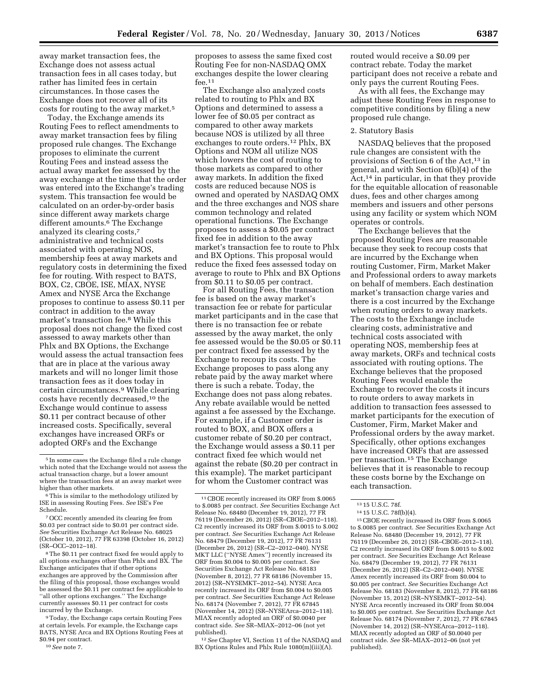away market transaction fees, the Exchange does not assess actual transaction fees in all cases today, but rather has limited fees in certain circumstances. In those cases the Exchange does not recover all of its costs for routing to the away market.5

Today, the Exchange amends its Routing Fees to reflect amendments to away market transaction fees by filing proposed rule changes. The Exchange proposes to eliminate the current Routing Fees and instead assess the actual away market fee assessed by the away exchange at the time that the order was entered into the Exchange's trading system. This transaction fee would be calculated on an order-by-order basis since different away markets charge different amounts.<sup>6</sup> The Exchange analyzed its clearing costs,7 administrative and technical costs associated with operating NOS, membership fees at away markets and regulatory costs in determining the fixed fee for routing. With respect to BATS, BOX, C2, CBOE, ISE, MIAX, NYSE Amex and NYSE Arca the Exchange proposes to continue to assess \$0.11 per contract in addition to the away market's transaction fee.8 While this proposal does not change the fixed cost assessed to away markets other than Phlx and BX Options, the Exchange would assess the actual transaction fees that are in place at the various away markets and will no longer limit those transaction fees as it does today in certain circumstances.9 While clearing costs have recently decreased,10 the Exchange would continue to assess \$0.11 per contract because of other increased costs. Specifically, several exchanges have increased ORFs or adopted ORFs and the Exchange

8The \$0.11 per contract fixed fee would apply to all options exchanges other than Phlx and BX. The Exchange anticipates that if other options exchanges are approved by the Commission after the filing of this proposal, those exchanges would be assessed the \$0.11 per contract fee applicable to ''all other options exchanges.'' The Exchange currently assesses \$0.11 per contract for costs incurred by the Exchange.

9Today, the Exchange caps certain Routing Fees at certain levels. For example, the Exchange caps BATS, NYSE Arca and BX Options Routing Fees at \$0.94 per contract.

10*See* note 7.

proposes to assess the same fixed cost Routing Fee for non-NASDAQ OMX exchanges despite the lower clearing fee.11

The Exchange also analyzed costs related to routing to Phlx and BX Options and determined to assess a lower fee of \$0.05 per contract as compared to other away markets because NOS is utilized by all three exchanges to route orders.12 Phlx, BX Options and NOM all utilize NOS which lowers the cost of routing to those markets as compared to other away markets. In addition the fixed costs are reduced because NOS is owned and operated by NASDAQ OMX and the three exchanges and NOS share common technology and related operational functions. The Exchange proposes to assess a \$0.05 per contract fixed fee in addition to the away market's transaction fee to route to Phlx and BX Options. This proposal would reduce the fixed fees assessed today on average to route to Phlx and BX Options from \$0.11 to \$0.05 per contract.

For all Routing Fees, the transaction fee is based on the away market's transaction fee or rebate for particular market participants and in the case that there is no transaction fee or rebate assessed by the away market, the only fee assessed would be the \$0.05 or \$0.11 per contract fixed fee assessed by the Exchange to recoup its costs. The Exchange proposes to pass along any rebate paid by the away market where there is such a rebate. Today, the Exchange does not pass along rebates. Any rebate available would be netted against a fee assessed by the Exchange. For example, if a Customer order is routed to BOX, and BOX offers a customer rebate of \$0.20 per contract, the Exchange would assess a \$0.11 per contract fixed fee which would net against the rebate (\$0.20 per contract in this example). The market participant for whom the Customer contract was

12*See* Chapter VI, Section 11 of the NASDAQ and BX Options Rules and Phlx Rule 1080(m)(iii)(A).

routed would receive a \$0.09 per contract rebate. Today the market participant does not receive a rebate and only pays the current Routing Fees.

As with all fees, the Exchange may adjust these Routing Fees in response to competitive conditions by filing a new proposed rule change.

#### 2. Statutory Basis

NASDAQ believes that the proposed rule changes are consistent with the provisions of Section 6 of the Act,<sup>13</sup> in general, and with Section 6(b)(4) of the Act,14 in particular, in that they provide for the equitable allocation of reasonable dues, fees and other charges among members and issuers and other persons using any facility or system which NOM operates or controls.

The Exchange believes that the proposed Routing Fees are reasonable because they seek to recoup costs that are incurred by the Exchange when routing Customer, Firm, Market Maker and Professional orders to away markets on behalf of members. Each destination market's transaction charge varies and there is a cost incurred by the Exchange when routing orders to away markets. The costs to the Exchange include clearing costs, administrative and technical costs associated with operating NOS, membership fees at away markets, ORFs and technical costs associated with routing options. The Exchange believes that the proposed Routing Fees would enable the Exchange to recover the costs it incurs to route orders to away markets in addition to transaction fees assessed to market participants for the execution of Customer, Firm, Market Maker and Professional orders by the away market. Specifically, other options exchanges have increased ORFs that are assessed per transaction.15 The Exchange believes that it is reasonable to recoup these costs borne by the Exchange on each transaction.

15CBOE recently increased its ORF from \$.0065 to \$.0085 per contract. *See* Securities Exchange Act Release No. 68480 (December 19, 2012), 77 FR 76119 (December 26, 2012) (SR–CBOE–2012–118). C2 recently increased its ORF from \$.0015 to \$.002 per contract. *See* Securities Exchange Act Release No. 68479 (December 19, 2012), 77 FR 76131 (December 26, 2012) (SR–C2–2012–040). NYSE Amex recently increased its ORF from \$0.004 to \$0.005 per contract. *See* Securities Exchange Act Release No. 68183 (November 8, 2012), 77 FR 68186 (November 15, 2012) (SR–NYSEMKT–2012–54). NYSE Arca recently increased its ORF from \$0.004 to \$0.005 per contract. *See* Securities Exchange Act Release No. 68174 (November 7, 2012), 77 FR 67845 (November 14, 2012) (SR–NYSEArca–2012–118). MIAX recently adopted an ORF of \$0.0040 per contract side. *See* SR–MIAX–2012–06 (not yet published).

<sup>5</sup> In some cases the Exchange filed a rule change which noted that the Exchange would not assess the actual transaction charge, but a lower amount where the transaction fees at an away market were higher than other markets.

<sup>6</sup>This is similar to the methodology utilized by ISE in assessing Routing Fees. *See* ISE's Fee Schedule.

<sup>7</sup>OCC recently amended its clearing fee from \$0.03 per contract side to \$0.01 per contract side. *See* Securities Exchange Act Release No. 68025 (October 10, 2012), 77 FR 63398 (October 16, 2012) (SR–OCC–2012–18).

<sup>11</sup>CBOE recently increased its ORF from \$.0065 to \$.0085 per contract. *See* Securities Exchange Act Release No. 68480 (December 19, 2012), 77 FR 76119 (December 26, 2012) (SR–CBOE–2012–118). C2 recently increased its ORF from \$.0015 to \$.002 per contract. *See* Securities Exchange Act Release No. 68479 (December 19, 2012), 77 FR 76131 (December 26, 2012) (SR–C2–2012–040). NYSE MKT LLC (''NYSE Amex'') recently increased its ORF from \$0.004 to \$0.005 per contract. *See*  Securities Exchange Act Release No. 68183 (November 8, 2012), 77 FR 68186 (November 15, 2012) (SR–NYSEMKT–2012–54). NYSE Arca recently increased its ORF from \$0.004 to \$0.005 per contract. *See* Securities Exchange Act Release No. 68174 (November 7, 2012), 77 FR 67845 (November 14, 2012) (SR–NYSEArca–2012–118). MIAX recently adopted an ORF of \$0.0040 per contract side. *See* SR–MIAX–2012–06 (not yet published).

<sup>13</sup> 15 U.S.C. 78f.

<sup>14</sup> 15 U.S.C. 78f(b)(4).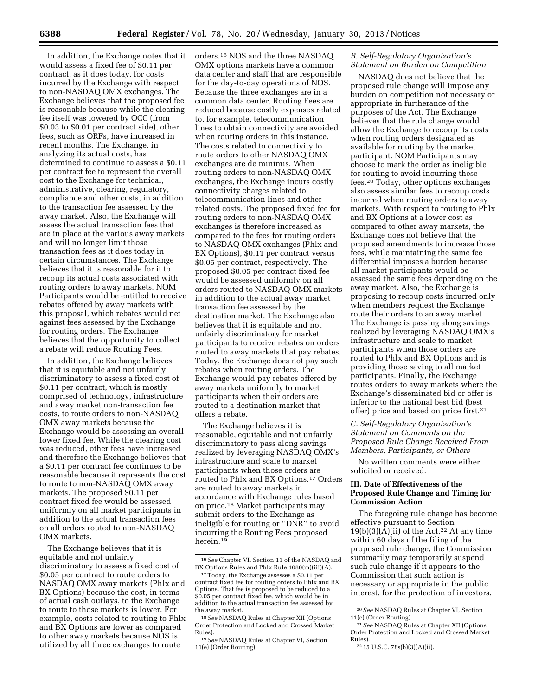In addition, the Exchange notes that it would assess a fixed fee of \$0.11 per contract, as it does today, for costs incurred by the Exchange with respect to non-NASDAQ OMX exchanges. The Exchange believes that the proposed fee is reasonable because while the clearing fee itself was lowered by OCC (from \$0.03 to \$0.01 per contract side), other fees, such as ORFs, have increased in recent months. The Exchange, in analyzing its actual costs, has determined to continue to assess a \$0.11 per contract fee to represent the overall cost to the Exchange for technical, administrative, clearing, regulatory, compliance and other costs, in addition to the transaction fee assessed by the away market. Also, the Exchange will assess the actual transaction fees that are in place at the various away markets and will no longer limit those transaction fees as it does today in certain circumstances. The Exchange believes that it is reasonable for it to recoup its actual costs associated with routing orders to away markets. NOM Participants would be entitled to receive rebates offered by away markets with this proposal, which rebates would net against fees assessed by the Exchange for routing orders. The Exchange believes that the opportunity to collect a rebate will reduce Routing Fees.

In addition, the Exchange believes that it is equitable and not unfairly discriminatory to assess a fixed cost of \$0.11 per contract, which is mostly comprised of technology, infrastructure and away market non-transaction fee costs, to route orders to non-NASDAQ OMX away markets because the Exchange would be assessing an overall lower fixed fee. While the clearing cost was reduced, other fees have increased and therefore the Exchange believes that a \$0.11 per contract fee continues to be reasonable because it represents the cost to route to non-NASDAQ OMX away markets. The proposed \$0.11 per contract fixed fee would be assessed uniformly on all market participants in addition to the actual transaction fees on all orders routed to non-NASDAQ OMX markets.

The Exchange believes that it is equitable and not unfairly discriminatory to assess a fixed cost of \$0.05 per contract to route orders to NASDAQ OMX away markets (Phlx and BX Options) because the cost, in terms of actual cash outlays, to the Exchange to route to those markets is lower. For example, costs related to routing to Phlx and BX Options are lower as compared to other away markets because NOS is utilized by all three exchanges to route

orders.16 NOS and the three NASDAQ OMX options markets have a common data center and staff that are responsible for the day-to-day operations of NOS. Because the three exchanges are in a common data center, Routing Fees are reduced because costly expenses related to, for example, telecommunication lines to obtain connectivity are avoided when routing orders in this instance. The costs related to connectivity to route orders to other NASDAQ OMX exchanges are de minimis. When routing orders to non-NASDAQ OMX exchanges, the Exchange incurs costly connectivity charges related to telecommunication lines and other related costs. The proposed fixed fee for routing orders to non-NASDAQ OMX exchanges is therefore increased as compared to the fees for routing orders to NASDAQ OMX exchanges (Phlx and BX Options), \$0.11 per contract versus \$0.05 per contract, respectively. The proposed \$0.05 per contract fixed fee would be assessed uniformly on all orders routed to NASDAQ OMX markets in addition to the actual away market transaction fee assessed by the destination market. The Exchange also believes that it is equitable and not unfairly discriminatory for market participants to receive rebates on orders routed to away markets that pay rebates. Today, the Exchange does not pay such rebates when routing orders. The Exchange would pay rebates offered by away markets uniformly to market participants when their orders are routed to a destination market that offers a rebate.

The Exchange believes it is reasonable, equitable and not unfairly discriminatory to pass along savings realized by leveraging NASDAQ OMX's infrastructure and scale to market participants when those orders are routed to Phlx and BX Options.17 Orders are routed to away markets in accordance with Exchange rules based on price.18 Market participants may submit orders to the Exchange as ineligible for routing or ''DNR'' to avoid incurring the Routing Fees proposed herein.<sup>19</sup>

### *B. Self-Regulatory Organization's Statement on Burden on Competition*

NASDAQ does not believe that the proposed rule change will impose any burden on competition not necessary or appropriate in furtherance of the purposes of the Act. The Exchange believes that the rule change would allow the Exchange to recoup its costs when routing orders designated as available for routing by the market participant. NOM Participants may choose to mark the order as ineligible for routing to avoid incurring these fees.20 Today, other options exchanges also assess similar fees to recoup costs incurred when routing orders to away markets. With respect to routing to Phlx and BX Options at a lower cost as compared to other away markets, the Exchange does not believe that the proposed amendments to increase those fees, while maintaining the same fee differential imposes a burden because all market participants would be assessed the same fees depending on the away market. Also, the Exchange is proposing to recoup costs incurred only when members request the Exchange route their orders to an away market. The Exchange is passing along savings realized by leveraging NASDAQ OMX's infrastructure and scale to market participants when those orders are routed to Phlx and BX Options and is providing those saving to all market participants. Finally, the Exchange routes orders to away markets where the Exchange's disseminated bid or offer is inferior to the national best bid (best offer) price and based on price first.21

# *C. Self-Regulatory Organization's Statement on Comments on the Proposed Rule Change Received From Members, Participants, or Others*

No written comments were either solicited or received.

### **III. Date of Effectiveness of the Proposed Rule Change and Timing for Commission Action**

The foregoing rule change has become effective pursuant to Section  $19(b)(3)(A)(ii)$  of the Act.<sup>22</sup> At any time within 60 days of the filing of the proposed rule change, the Commission summarily may temporarily suspend such rule change if it appears to the Commission that such action is necessary or appropriate in the public interest, for the protection of investors,

<sup>16</sup>*See* Chapter VI, Section 11 of the NASDAQ and BX Options Rules and Phlx Rule 1080(m)(iii)(A).

<sup>&</sup>lt;sup>17</sup> Today, the Exchange assesses a \$0.11 per contract fixed fee for routing orders to Phlx and BX Options. That fee is proposed to be reduced to a \$0.05 per contract fixed fee, which would be in addition to the actual transaction fee assessed by the away market.

<sup>18</sup>*See* NASDAQ Rules at Chapter XII (Options Order Protection and Locked and Crossed Market Rules).

<sup>19</sup>*See* NASDAQ Rules at Chapter VI, Section 11(e) (Order Routing).

<sup>20</sup>*See* NASDAQ Rules at Chapter VI, Section 11(e) (Order Routing).

<sup>21</sup>*See* NASDAQ Rules at Chapter XII (Options Order Protection and Locked and Crossed Market Rules).

<sup>22</sup> 15 U.S.C. 78s(b)(3)(A)(ii).